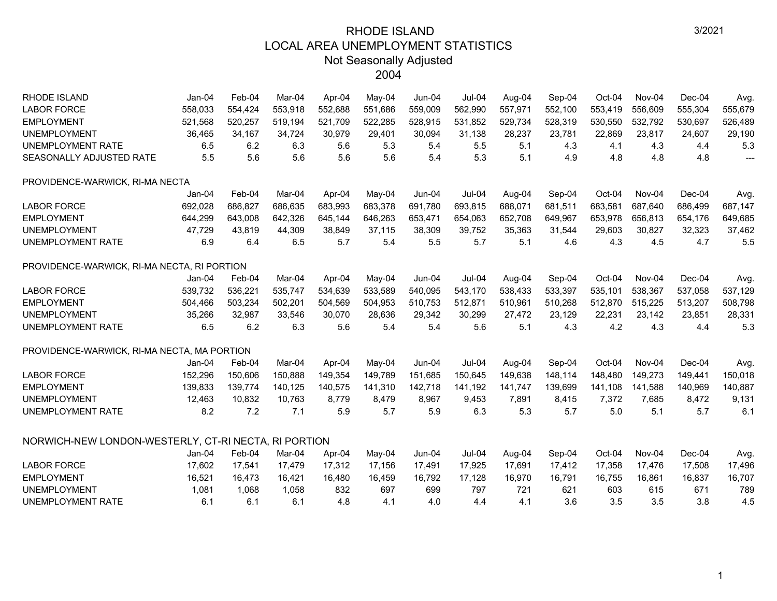| <b>RHODE ISLAND</b>                                  | Jan-04   | Feb-04  | Mar-04  | Apr-04  | May-04  | $Jun-04$ | $Jul-04$ | Aug-04  | Sep-04  | Oct-04  | Nov-04  | $Dec-04$ | Avg.    |
|------------------------------------------------------|----------|---------|---------|---------|---------|----------|----------|---------|---------|---------|---------|----------|---------|
| <b>LABOR FORCE</b>                                   | 558,033  | 554,424 | 553,918 | 552,688 | 551,686 | 559,009  | 562,990  | 557,971 | 552,100 | 553,419 | 556,609 | 555,304  | 555,679 |
| <b>EMPLOYMENT</b>                                    | 521,568  | 520,257 | 519,194 | 521,709 | 522,285 | 528,915  | 531,852  | 529,734 | 528,319 | 530,550 | 532,792 | 530,697  | 526,489 |
| <b>UNEMPLOYMENT</b>                                  | 36,465   | 34,167  | 34,724  | 30,979  | 29,401  | 30,094   | 31,138   | 28,237  | 23,781  | 22,869  | 23,817  | 24,607   | 29,190  |
| UNEMPLOYMENT RATE                                    | 6.5      | 6.2     | 6.3     | 5.6     | 5.3     | 5.4      | 5.5      | 5.1     | 4.3     | 4.1     | 4.3     | 4.4      | 5.3     |
| SEASONALLY ADJUSTED RATE                             | 5.5      | 5.6     | 5.6     | 5.6     | 5.6     | 5.4      | 5.3      | 5.1     | 4.9     | 4.8     | 4.8     | 4.8      | $---$   |
| PROVIDENCE-WARWICK, RI-MA NECTA                      |          |         |         |         |         |          |          |         |         |         |         |          |         |
|                                                      | Jan-04   | Feb-04  | Mar-04  | Apr-04  | May-04  | Jun-04   | $Jul-04$ | Aug-04  | Sep-04  | Oct-04  | Nov-04  | Dec-04   | Avg.    |
| <b>LABOR FORCE</b>                                   | 692,028  | 686,827 | 686,635 | 683,993 | 683,378 | 691,780  | 693,815  | 688,071 | 681,511 | 683,581 | 687,640 | 686,499  | 687,147 |
| <b>EMPLOYMENT</b>                                    | 644,299  | 643,008 | 642,326 | 645,144 | 646,263 | 653,471  | 654,063  | 652,708 | 649,967 | 653,978 | 656,813 | 654,176  | 649,685 |
| <b>UNEMPLOYMENT</b>                                  | 47,729   | 43,819  | 44,309  | 38,849  | 37,115  | 38,309   | 39,752   | 35,363  | 31,544  | 29,603  | 30,827  | 32,323   | 37,462  |
| <b>UNEMPLOYMENT RATE</b>                             | 6.9      | 6.4     | 6.5     | 5.7     | 5.4     | 5.5      | 5.7      | 5.1     | 4.6     | 4.3     | 4.5     | 4.7      | 5.5     |
| PROVIDENCE-WARWICK, RI-MA NECTA, RI PORTION          |          |         |         |         |         |          |          |         |         |         |         |          |         |
|                                                      | $Jan-04$ | Feb-04  | Mar-04  | Apr-04  | May-04  | Jun-04   | $Jul-04$ | Aug-04  | Sep-04  | Oct-04  | Nov-04  | Dec-04   | Avg.    |
| <b>LABOR FORCE</b>                                   | 539,732  | 536,221 | 535,747 | 534,639 | 533,589 | 540,095  | 543,170  | 538,433 | 533,397 | 535,101 | 538,367 | 537,058  | 537,129 |
| <b>EMPLOYMENT</b>                                    | 504,466  | 503,234 | 502,201 | 504,569 | 504,953 | 510,753  | 512,871  | 510,961 | 510,268 | 512,870 | 515,225 | 513,207  | 508,798 |
| <b>UNEMPLOYMENT</b>                                  | 35,266   | 32,987  | 33,546  | 30,070  | 28,636  | 29,342   | 30,299   | 27,472  | 23,129  | 22,231  | 23,142  | 23,851   | 28,331  |
| <b>UNEMPLOYMENT RATE</b>                             | 6.5      | 6.2     | 6.3     | 5.6     | 5.4     | 5.4      | 5.6      | 5.1     | 4.3     | 4.2     | 4.3     | 4.4      | 5.3     |
| PROVIDENCE-WARWICK, RI-MA NECTA, MA PORTION          |          |         |         |         |         |          |          |         |         |         |         |          |         |
|                                                      | Jan-04   | Feb-04  | Mar-04  | Apr-04  | May-04  | Jun-04   | $Jul-04$ | Aug-04  | Sep-04  | Oct-04  | Nov-04  | Dec-04   | Avg.    |
| <b>LABOR FORCE</b>                                   | 152,296  | 150,606 | 150,888 | 149,354 | 149,789 | 151,685  | 150,645  | 149,638 | 148,114 | 148,480 | 149,273 | 149,441  | 150,018 |
| <b>EMPLOYMENT</b>                                    | 139,833  | 139,774 | 140,125 | 140,575 | 141,310 | 142,718  | 141,192  | 141,747 | 139,699 | 141,108 | 141,588 | 140,969  | 140,887 |
| <b>UNEMPLOYMENT</b>                                  | 12,463   | 10,832  | 10,763  | 8,779   | 8,479   | 8,967    | 9,453    | 7,891   | 8,415   | 7,372   | 7,685   | 8,472    | 9,131   |
| UNEMPLOYMENT RATE                                    | 8.2      | 7.2     | 7.1     | 5.9     | 5.7     | 5.9      | 6.3      | 5.3     | 5.7     | 5.0     | 5.1     | 5.7      | 6.1     |
| NORWICH-NEW LONDON-WESTERLY, CT-RI NECTA, RI PORTION |          |         |         |         |         |          |          |         |         |         |         |          |         |
|                                                      | $Jan-04$ | Feb-04  | Mar-04  | Apr-04  | May-04  | $Jun-04$ | $Jul-04$ | Aug-04  | Sep-04  | Oct-04  | Nov-04  | $Dec-04$ | Avg.    |
| <b>LABOR FORCE</b>                                   | 17,602   | 17,541  | 17,479  | 17,312  | 17,156  | 17,491   | 17,925   | 17,691  | 17,412  | 17,358  | 17,476  | 17,508   | 17,496  |
| <b>EMPLOYMENT</b>                                    | 16,521   | 16,473  | 16,421  | 16,480  | 16,459  | 16,792   | 17,128   | 16,970  | 16,791  | 16,755  | 16,861  | 16,837   | 16,707  |
| <b>UNEMPLOYMENT</b>                                  | 1,081    | 1,068   | 1,058   | 832     | 697     | 699      | 797      | 721     | 621     | 603     | 615     | 671      | 789     |
| <b>UNEMPLOYMENT RATE</b>                             | 6.1      | 6.1     | 6.1     | 4.8     | 4.1     | 4.0      | 4.4      | 4.1     | 3.6     | 3.5     | 3.5     | 3.8      | 4.5     |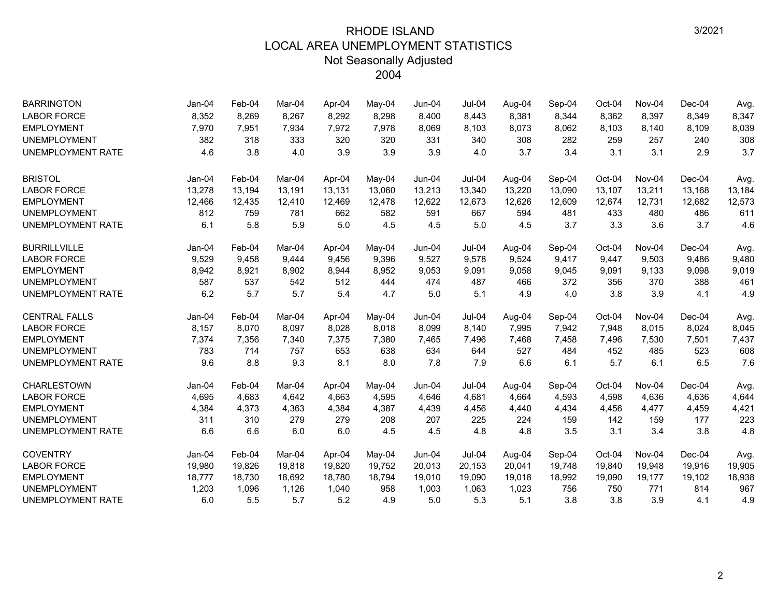| <b>BARRINGTON</b>        | Jan-04   | Feb-04 | Mar-04 | Apr-04 | $Mav-04$ | $Jun-04$ | Jul-04        | Aug-04 | Sep-04 | Oct-04 | Nov-04 | $Dec-04$ | Avg.   |
|--------------------------|----------|--------|--------|--------|----------|----------|---------------|--------|--------|--------|--------|----------|--------|
| <b>LABOR FORCE</b>       | 8,352    | 8,269  | 8,267  | 8,292  | 8,298    | 8,400    | 8,443         | 8,381  | 8,344  | 8,362  | 8,397  | 8,349    | 8,347  |
| <b>EMPLOYMENT</b>        | 7,970    | 7,951  | 7,934  | 7,972  | 7,978    | 8,069    | 8,103         | 8,073  | 8,062  | 8,103  | 8,140  | 8,109    | 8,039  |
| <b>UNEMPLOYMENT</b>      | 382      | 318    | 333    | 320    | 320      | 331      | 340           | 308    | 282    | 259    | 257    | 240      | 308    |
| <b>UNEMPLOYMENT RATE</b> | 4.6      | 3.8    | 4.0    | 3.9    | 3.9      | 3.9      | 4.0           | 3.7    | 3.4    | 3.1    | 3.1    | 2.9      | 3.7    |
| <b>BRISTOL</b>           | $Jan-04$ | Feb-04 | Mar-04 | Apr-04 | May-04   | Jun-04   | $Jul-04$      | Aug-04 | Sep-04 | Oct-04 | Nov-04 | Dec-04   | Avg.   |
| <b>LABOR FORCE</b>       | 13,278   | 13,194 | 13,191 | 13,131 | 13,060   | 13,213   | 13,340        | 13,220 | 13,090 | 13,107 | 13,211 | 13,168   | 13,184 |
| <b>EMPLOYMENT</b>        | 12,466   | 12,435 | 12,410 | 12,469 | 12,478   | 12,622   | 12,673        | 12,626 | 12,609 | 12,674 | 12,731 | 12,682   | 12,573 |
| <b>UNEMPLOYMENT</b>      | 812      | 759    | 781    | 662    | 582      | 591      | 667           | 594    | 481    | 433    | 480    | 486      | 611    |
| <b>UNEMPLOYMENT RATE</b> | 6.1      | 5.8    | 5.9    | 5.0    | 4.5      | 4.5      | 5.0           | 4.5    | 3.7    | 3.3    | 3.6    | 3.7      | 4.6    |
| <b>BURRILLVILLE</b>      | $Jan-04$ | Feb-04 | Mar-04 | Apr-04 | May-04   | Jun-04   | Jul-04        | Aug-04 | Sep-04 | Oct-04 | Nov-04 | Dec-04   | Avg.   |
| <b>LABOR FORCE</b>       | 9,529    | 9,458  | 9,444  | 9,456  | 9,396    | 9,527    | 9,578         | 9,524  | 9,417  | 9,447  | 9,503  | 9,486    | 9,480  |
| <b>EMPLOYMENT</b>        | 8,942    | 8,921  | 8,902  | 8,944  | 8,952    | 9,053    | 9,091         | 9,058  | 9,045  | 9,091  | 9,133  | 9,098    | 9,019  |
| <b>UNEMPLOYMENT</b>      | 587      | 537    | 542    | 512    | 444      | 474      | 487           | 466    | 372    | 356    | 370    | 388      | 461    |
| <b>UNEMPLOYMENT RATE</b> | 6.2      | 5.7    | 5.7    | 5.4    | 4.7      | 5.0      | 5.1           | 4.9    | 4.0    | 3.8    | 3.9    | 4.1      | 4.9    |
| <b>CENTRAL FALLS</b>     | $Jan-04$ | Feb-04 | Mar-04 | Apr-04 | May-04   | Jun-04   | Jul-04        | Aug-04 | Sep-04 | Oct-04 | Nov-04 | $Dec-04$ | Avg.   |
| <b>LABOR FORCE</b>       | 8,157    | 8,070  | 8,097  | 8,028  | 8,018    | 8,099    | 8,140         | 7,995  | 7,942  | 7,948  | 8,015  | 8,024    | 8,045  |
| <b>EMPLOYMENT</b>        | 7,374    | 7,356  | 7,340  | 7,375  | 7,380    | 7,465    | 7,496         | 7,468  | 7,458  | 7,496  | 7,530  | 7,501    | 7,437  |
| <b>UNEMPLOYMENT</b>      | 783      | 714    | 757    | 653    | 638      | 634      | 644           | 527    | 484    | 452    | 485    | 523      | 608    |
| <b>UNEMPLOYMENT RATE</b> | 9.6      | 8.8    | 9.3    | 8.1    | 8.0      | 7.8      | 7.9           | 6.6    | 6.1    | 5.7    | 6.1    | 6.5      | 7.6    |
| <b>CHARLESTOWN</b>       | Jan-04   | Feb-04 | Mar-04 | Apr-04 | May-04   | Jun-04   | Jul-04        | Aug-04 | Sep-04 | Oct-04 | Nov-04 | $Dec-04$ | Avg.   |
| <b>LABOR FORCE</b>       | 4,695    | 4,683  | 4,642  | 4,663  | 4,595    | 4,646    | 4,681         | 4,664  | 4,593  | 4,598  | 4,636  | 4,636    | 4,644  |
| <b>EMPLOYMENT</b>        | 4,384    | 4,373  | 4,363  | 4,384  | 4,387    | 4,439    | 4,456         | 4,440  | 4,434  | 4,456  | 4,477  | 4,459    | 4,421  |
| <b>UNEMPLOYMENT</b>      | 311      | 310    | 279    | 279    | 208      | 207      | 225           | 224    | 159    | 142    | 159    | 177      | 223    |
| <b>UNEMPLOYMENT RATE</b> | 6.6      | 6.6    | 6.0    | 6.0    | 4.5      | 4.5      | 4.8           | 4.8    | 3.5    | 3.1    | 3.4    | 3.8      | 4.8    |
| <b>COVENTRY</b>          | $Jan-04$ | Feb-04 | Mar-04 | Apr-04 | May-04   | Jun-04   | <b>Jul-04</b> | Aug-04 | Sep-04 | Oct-04 | Nov-04 | Dec-04   | Avg.   |
| <b>LABOR FORCE</b>       | 19,980   | 19,826 | 19,818 | 19,820 | 19,752   | 20,013   | 20,153        | 20,041 | 19,748 | 19,840 | 19,948 | 19,916   | 19,905 |
| <b>EMPLOYMENT</b>        | 18,777   | 18,730 | 18,692 | 18,780 | 18,794   | 19,010   | 19,090        | 19,018 | 18,992 | 19,090 | 19,177 | 19,102   | 18,938 |
| <b>UNEMPLOYMENT</b>      | 1,203    | 1,096  | 1,126  | 1,040  | 958      | 1,003    | 1,063         | 1,023  | 756    | 750    | 771    | 814      | 967    |
| <b>UNEMPLOYMENT RATE</b> | 6.0      | 5.5    | 5.7    | 5.2    | 4.9      | 5.0      | 5.3           | 5.1    | 3.8    | 3.8    | 3.9    | 4.1      | 4.9    |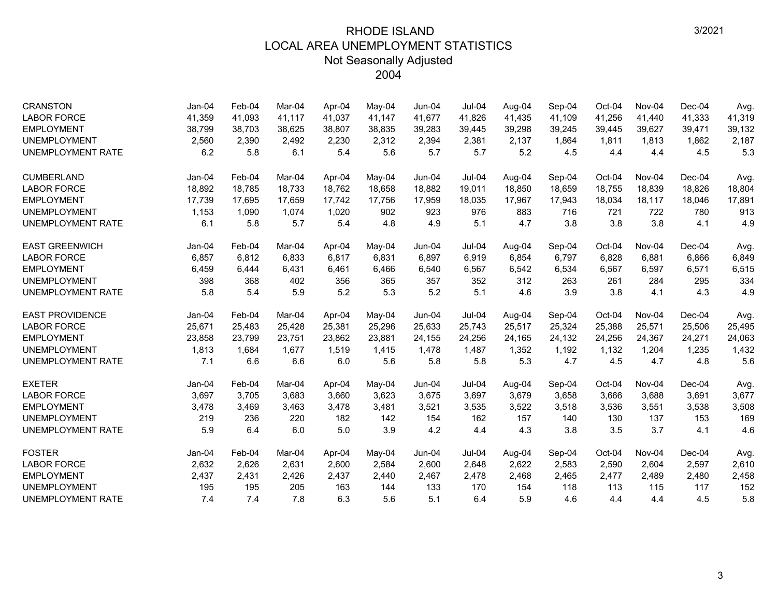| <b>CRANSTON</b>          | Jan-04   | Feb-04 | Mar-04 | Apr-04 | May-04   | Jun-04   | $Jul-04$      | Aug-04 | Sep-04 | Oct-04 | Nov-04 | $Dec-04$ | Avg.   |
|--------------------------|----------|--------|--------|--------|----------|----------|---------------|--------|--------|--------|--------|----------|--------|
| <b>LABOR FORCE</b>       | 41,359   | 41,093 | 41.117 | 41.037 | 41,147   | 41,677   | 41,826        | 41,435 | 41,109 | 41,256 | 41,440 | 41,333   | 41,319 |
| <b>EMPLOYMENT</b>        | 38,799   | 38,703 | 38,625 | 38,807 | 38,835   | 39,283   | 39,445        | 39,298 | 39,245 | 39,445 | 39,627 | 39,471   | 39,132 |
| <b>UNEMPLOYMENT</b>      | 2,560    | 2,390  | 2.492  | 2,230  | 2,312    | 2,394    | 2,381         | 2,137  | 1,864  | 1,811  | 1.813  | 1,862    | 2,187  |
| <b>UNEMPLOYMENT RATE</b> | 6.2      | 5.8    | 6.1    | 5.4    | 5.6      | 5.7      | 5.7           | 5.2    | 4.5    | 4.4    | 4.4    | 4.5      | 5.3    |
| <b>CUMBERLAND</b>        | $Jan-04$ | Feb-04 | Mar-04 | Apr-04 | $May-04$ | $Jun-04$ | $Jul-04$      | Aug-04 | Sep-04 | Oct-04 | Nov-04 | $Dec-04$ | Avg.   |
| <b>LABOR FORCE</b>       | 18,892   | 18,785 | 18.733 | 18.762 | 18,658   | 18,882   | 19,011        | 18,850 | 18,659 | 18,755 | 18,839 | 18,826   | 18,804 |
| <b>EMPLOYMENT</b>        | 17,739   | 17,695 | 17,659 | 17,742 | 17,756   | 17,959   | 18,035        | 17,967 | 17,943 | 18,034 | 18,117 | 18,046   | 17,891 |
| <b>UNEMPLOYMENT</b>      | 1,153    | 1,090  | 1,074  | 1,020  | 902      | 923      | 976           | 883    | 716    | 721    | 722    | 780      | 913    |
| <b>UNEMPLOYMENT RATE</b> | 6.1      | 5.8    | 5.7    | 5.4    | 4.8      | 4.9      | 5.1           | 4.7    | 3.8    | 3.8    | 3.8    | 4.1      | 4.9    |
| <b>EAST GREENWICH</b>    | $Jan-04$ | Feb-04 | Mar-04 | Apr-04 | May-04   | $Jun-04$ | $Jul-04$      | Aug-04 | Sep-04 | Oct-04 | Nov-04 | $Dec-04$ | Avg.   |
| <b>LABOR FORCE</b>       | 6,857    | 6,812  | 6,833  | 6,817  | 6,831    | 6,897    | 6,919         | 6,854  | 6,797  | 6,828  | 6,881  | 6,866    | 6,849  |
| <b>EMPLOYMENT</b>        | 6,459    | 6,444  | 6,431  | 6,461  | 6,466    | 6,540    | 6,567         | 6,542  | 6,534  | 6,567  | 6,597  | 6,571    | 6,515  |
| <b>UNEMPLOYMENT</b>      | 398      | 368    | 402    | 356    | 365      | 357      | 352           | 312    | 263    | 261    | 284    | 295      | 334    |
| <b>UNEMPLOYMENT RATE</b> | 5.8      | 5.4    | 5.9    | 5.2    | 5.3      | 5.2      | 5.1           | 4.6    | 3.9    | 3.8    | 4.1    | 4.3      | 4.9    |
| <b>EAST PROVIDENCE</b>   | $Jan-04$ | Feb-04 | Mar-04 | Apr-04 | May-04   | Jun-04   | <b>Jul-04</b> | Aug-04 | Sep-04 | Oct-04 | Nov-04 | $Dec-04$ | Avg.   |
| <b>LABOR FORCE</b>       | 25,671   | 25,483 | 25,428 | 25,381 | 25,296   | 25,633   | 25,743        | 25,517 | 25,324 | 25,388 | 25,571 | 25,506   | 25,495 |
| <b>EMPLOYMENT</b>        | 23,858   | 23,799 | 23,751 | 23,862 | 23,881   | 24,155   | 24,256        | 24,165 | 24,132 | 24,256 | 24,367 | 24,271   | 24,063 |
| <b>UNEMPLOYMENT</b>      | 1,813    | 1,684  | 1,677  | 1,519  | 1,415    | 1,478    | 1,487         | 1,352  | 1,192  | 1,132  | 1,204  | 1,235    | 1,432  |
| UNEMPLOYMENT RATE        | 7.1      | 6.6    | 6.6    | 6.0    | 5.6      | 5.8      | 5.8           | 5.3    | 4.7    | 4.5    | 4.7    | 4.8      | 5.6    |
| <b>EXETER</b>            | $Jan-04$ | Feb-04 | Mar-04 | Apr-04 | May-04   | $Jun-04$ | $Jul-04$      | Aug-04 | Sep-04 | Oct-04 | Nov-04 | $Dec-04$ | Avg.   |
| <b>LABOR FORCE</b>       | 3,697    | 3,705  | 3,683  | 3,660  | 3,623    | 3,675    | 3,697         | 3,679  | 3,658  | 3,666  | 3,688  | 3,691    | 3,677  |
| <b>EMPLOYMENT</b>        | 3,478    | 3,469  | 3,463  | 3,478  | 3,481    | 3,521    | 3,535         | 3,522  | 3,518  | 3,536  | 3,551  | 3,538    | 3,508  |
| <b>UNEMPLOYMENT</b>      | 219      | 236    | 220    | 182    | 142      | 154      | 162           | 157    | 140    | 130    | 137    | 153      | 169    |
| <b>UNEMPLOYMENT RATE</b> | 5.9      | 6.4    | 6.0    | 5.0    | 3.9      | 4.2      | 4.4           | 4.3    | 3.8    | 3.5    | 3.7    | 4.1      | 4.6    |
| <b>FOSTER</b>            | Jan-04   | Feb-04 | Mar-04 | Apr-04 | May-04   | $Jun-04$ | Jul-04        | Aug-04 | Sep-04 | Oct-04 | Nov-04 | $Dec-04$ | Avg.   |
| <b>LABOR FORCE</b>       | 2,632    | 2,626  | 2,631  | 2,600  | 2,584    | 2,600    | 2,648         | 2,622  | 2,583  | 2,590  | 2,604  | 2,597    | 2,610  |
| <b>EMPLOYMENT</b>        | 2,437    | 2,431  | 2,426  | 2,437  | 2,440    | 2,467    | 2,478         | 2,468  | 2,465  | 2,477  | 2,489  | 2,480    | 2,458  |
| <b>UNEMPLOYMENT</b>      | 195      | 195    | 205    | 163    | 144      | 133      | 170           | 154    | 118    | 113    | 115    | 117      | 152    |
| <b>UNEMPLOYMENT RATE</b> | 7.4      | 7.4    | 7.8    | 6.3    | 5.6      | 5.1      | 6.4           | 5.9    | 4.6    | 4.4    | 4.4    | 4.5      | 5.8    |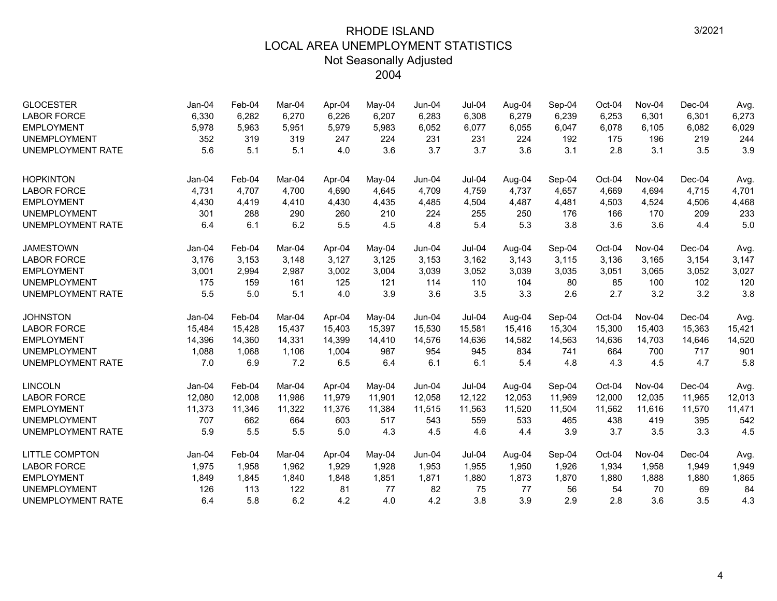| <b>GLOCESTER</b><br><b>LABOR FORCE</b> | $Jan-04$<br>6,330 | Feb-04<br>6,282 | Mar-04<br>6,270 | Apr-04<br>6,226 | May-04<br>6,207 | Jun-04<br>6,283 | <b>Jul-04</b><br>6,308 | Aug-04<br>6,279 | Sep-04<br>6,239 | Oct-04<br>6,253 | Nov-04<br>6,301 | $Dec-04$<br>6,301 | Avg.<br>6,273 |
|----------------------------------------|-------------------|-----------------|-----------------|-----------------|-----------------|-----------------|------------------------|-----------------|-----------------|-----------------|-----------------|-------------------|---------------|
| <b>EMPLOYMENT</b>                      | 5,978             | 5,963           | 5,951           | 5,979           | 5,983           | 6,052           | 6,077                  | 6,055           | 6,047           | 6,078           | 6,105           | 6,082             | 6,029         |
| <b>UNEMPLOYMENT</b>                    | 352               | 319             | 319             | 247             | 224             | 231             | 231                    | 224             | 192             | 175             | 196             | 219               | 244           |
| <b>UNEMPLOYMENT RATE</b>               | 5.6               | 5.1             | 5.1             | 4.0             | 3.6             | 3.7             | 3.7                    | 3.6             | 3.1             | 2.8             | 3.1             | 3.5               | 3.9           |
|                                        |                   |                 |                 |                 |                 |                 |                        |                 |                 |                 |                 |                   |               |
| <b>HOPKINTON</b>                       | Jan-04            | Feb-04          | Mar-04          | Apr-04          | May-04          | Jun-04          | <b>Jul-04</b>          | Aug-04          | Sep-04          | Oct-04          | Nov-04          | $Dec-04$          | Avg.          |
| <b>LABOR FORCE</b>                     | 4,731             | 4,707           | 4,700           | 4,690           | 4,645           | 4,709           | 4,759                  | 4,737           | 4,657           | 4,669           | 4,694           | 4,715             | 4,701         |
| <b>EMPLOYMENT</b>                      | 4,430             | 4,419           | 4,410           | 4,430           | 4,435           | 4,485           | 4,504                  | 4,487           | 4,481           | 4,503           | 4,524           | 4,506             | 4,468         |
| <b>UNEMPLOYMENT</b>                    | 301               | 288             | 290             | 260             | 210             | 224             | 255                    | 250             | 176             | 166             | 170             | 209               | 233           |
| <b>UNEMPLOYMENT RATE</b>               | 6.4               | 6.1             | 6.2             | 5.5             | 4.5             | 4.8             | 5.4                    | 5.3             | 3.8             | 3.6             | 3.6             | 4.4               | 5.0           |
| <b>JAMESTOWN</b>                       | Jan-04            | Feb-04          | Mar-04          | Apr-04          | May-04          | $Jun-04$        | <b>Jul-04</b>          | Aug-04          | Sep-04          | Oct-04          | Nov-04          | $Dec-04$          | Avg.          |
| <b>LABOR FORCE</b>                     | 3,176             | 3,153           | 3,148           | 3,127           | 3,125           | 3,153           | 3,162                  | 3,143           | 3,115           | 3,136           | 3,165           | 3,154             | 3,147         |
| <b>EMPLOYMENT</b>                      | 3,001             | 2,994           | 2,987           | 3,002           | 3,004           | 3,039           | 3,052                  | 3,039           | 3,035           | 3,051           | 3,065           | 3,052             | 3,027         |
| <b>UNEMPLOYMENT</b>                    | 175               | 159             | 161             | 125             | 121             | 114             | 110                    | 104             | 80              | 85              | 100             | 102               | 120           |
| <b>UNEMPLOYMENT RATE</b>               | 5.5               | 5.0             | 5.1             | 4.0             | 3.9             | 3.6             | 3.5                    | 3.3             | 2.6             | 2.7             | 3.2             | 3.2               | 3.8           |
| <b>JOHNSTON</b>                        | Jan-04            | Feb-04          | Mar-04          | Apr-04          | May-04          | Jun-04          | Jul-04                 | Aug-04          | Sep-04          | Oct-04          | Nov-04          | $Dec-04$          | Avg.          |
| <b>LABOR FORCE</b>                     | 15,484            | 15,428          | 15,437          | 15,403          | 15,397          | 15,530          | 15,581                 | 15,416          | 15,304          | 15,300          | 15,403          | 15,363            | 15,421        |
| <b>EMPLOYMENT</b>                      | 14,396            | 14,360          | 14.331          | 14,399          | 14,410          | 14,576          | 14,636                 | 14,582          | 14,563          | 14,636          | 14,703          | 14,646            | 14,520        |
| <b>UNEMPLOYMENT</b>                    | 1,088             | 1,068           | 1,106           | 1,004           | 987             | 954             | 945                    | 834             | 741             | 664             | 700             | 717               | 901           |
| <b>UNEMPLOYMENT RATE</b>               | 7.0               | 6.9             | 7.2             | 6.5             | 6.4             | 6.1             | 6.1                    | 5.4             | 4.8             | 4.3             | 4.5             | 4.7               | 5.8           |
| <b>LINCOLN</b>                         | Jan-04            | Feb-04          | Mar-04          | Apr-04          | May-04          | Jun-04          | $Jul-04$               | Aug-04          | Sep-04          | Oct-04          | Nov-04          | $Dec-04$          | Avg.          |
| <b>LABOR FORCE</b>                     | 12,080            | 12,008          | 11,986          | 11,979          | 11,901          | 12,058          | 12,122                 | 12,053          | 11,969          | 12,000          | 12,035          | 11,965            | 12,013        |
| <b>EMPLOYMENT</b>                      | 11,373            | 11,346          | 11,322          | 11,376          | 11,384          | 11,515          | 11,563                 | 11,520          | 11,504          | 11,562          | 11,616          | 11,570            | 11,471        |
| <b>UNEMPLOYMENT</b>                    | 707               | 662             | 664             | 603             | 517             | 543             | 559                    | 533             | 465             | 438             | 419             | 395               | 542           |
| <b>UNEMPLOYMENT RATE</b>               | 5.9               | 5.5             | 5.5             | 5.0             | 4.3             | 4.5             | 4.6                    | 4.4             | 3.9             | 3.7             | 3.5             | 3.3               | 4.5           |
| <b>LITTLE COMPTON</b>                  | Jan-04            | Feb-04          | Mar-04          | Apr-04          | May-04          | Jun-04          | Jul-04                 | Aug-04          | Sep-04          | Oct-04          | Nov-04          | $Dec-04$          | Avg.          |
| <b>LABOR FORCE</b>                     | 1,975             | 1,958           | 1,962           | 1,929           | 1,928           | 1,953           | 1,955                  | 1,950           | 1,926           | 1,934           | 1,958           | 1,949             | 1,949         |
| <b>EMPLOYMENT</b>                      | 1,849             | 1,845           | 1,840           | 1,848           | 1,851           | 1,871           | 1,880                  | 1,873           | 1,870           | 1,880           | 1,888           | 1,880             | 1,865         |
| <b>UNEMPLOYMENT</b>                    | 126               | 113             | 122             | 81              | 77              | 82              | 75                     | 77              | 56              | 54              | 70              | 69                | 84            |
| <b>UNEMPLOYMENT RATE</b>               | 6.4               | 5.8             | 6.2             | 4.2             | 4.0             | 4.2             | 3.8                    | 3.9             | 2.9             | 2.8             | 3.6             | 3.5               | 4.3           |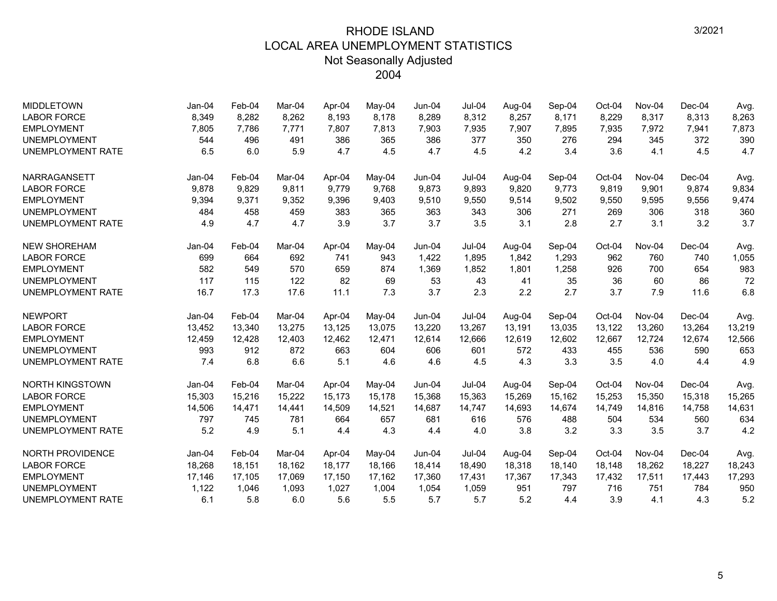| <b>MIDDLETOWN</b>        | $Jan-04$ | Feb-04 | Mar-04 | Apr-04 | $Mav-04$ | $Jun-04$ | <b>Jul-04</b> | Aug-04 | Sep-04 | Oct-04 | Nov-04 | $Dec-04$ | Avg.   |
|--------------------------|----------|--------|--------|--------|----------|----------|---------------|--------|--------|--------|--------|----------|--------|
| <b>LABOR FORCE</b>       | 8,349    | 8,282  | 8,262  | 8,193  | 8,178    | 8,289    | 8,312         | 8,257  | 8,171  | 8,229  | 8,317  | 8,313    | 8,263  |
| <b>EMPLOYMENT</b>        | 7,805    | 7,786  | 7,771  | 7,807  | 7,813    | 7,903    | 7,935         | 7,907  | 7,895  | 7,935  | 7,972  | 7,941    | 7,873  |
| <b>UNEMPLOYMENT</b>      | 544      | 496    | 491    | 386    | 365      | 386      | 377           | 350    | 276    | 294    | 345    | 372      | 390    |
| <b>UNEMPLOYMENT RATE</b> | 6.5      | 6.0    | 5.9    | 4.7    | 4.5      | 4.7      | 4.5           | 4.2    | 3.4    | 3.6    | 4.1    | 4.5      | 4.7    |
| <b>NARRAGANSETT</b>      | $Jan-04$ | Feb-04 | Mar-04 | Apr-04 | $Mav-04$ | $Jun-04$ | <b>Jul-04</b> | Aug-04 | Sep-04 | Oct-04 | Nov-04 | $Dec-04$ | Avg.   |
| <b>LABOR FORCE</b>       | 9,878    | 9,829  | 9.811  | 9,779  | 9,768    | 9,873    | 9,893         | 9.820  | 9,773  | 9,819  | 9,901  | 9,874    | 9,834  |
| <b>EMPLOYMENT</b>        | 9,394    | 9,371  | 9,352  | 9,396  | 9,403    | 9,510    | 9,550         | 9,514  | 9,502  | 9,550  | 9,595  | 9,556    | 9,474  |
| <b>UNEMPLOYMENT</b>      | 484      | 458    | 459    | 383    | 365      | 363      | 343           | 306    | 271    | 269    | 306    | 318      | 360    |
| <b>UNEMPLOYMENT RATE</b> | 4.9      | 4.7    | 4.7    | 3.9    | 3.7      | 3.7      | 3.5           | 3.1    | 2.8    | 2.7    | 3.1    | 3.2      | 3.7    |
| <b>NEW SHOREHAM</b>      | Jan-04   | Feb-04 | Mar-04 | Apr-04 | $Mav-04$ | $Jun-04$ | $Jul-04$      | Aug-04 | Sep-04 | Oct-04 | Nov-04 | $Dec-04$ | Avg.   |
| <b>LABOR FORCE</b>       | 699      | 664    | 692    | 741    | 943      | 1,422    | 1,895         | 1,842  | 1,293  | 962    | 760    | 740      | 1,055  |
| <b>EMPLOYMENT</b>        | 582      | 549    | 570    | 659    | 874      | 1,369    | 1,852         | 1,801  | 1,258  | 926    | 700    | 654      | 983    |
| <b>UNEMPLOYMENT</b>      | 117      | 115    | 122    | 82     | 69       | 53       | 43            | 41     | 35     | 36     | 60     | 86       | 72     |
| <b>UNEMPLOYMENT RATE</b> | 16.7     | 17.3   | 17.6   | 11.1   | 7.3      | 3.7      | 2.3           | 2.2    | 2.7    | 3.7    | 7.9    | 11.6     | 6.8    |
| <b>NEWPORT</b>           | $Jan-04$ | Feb-04 | Mar-04 | Apr-04 | May-04   | $Jun-04$ | $Jul-04$      | Aug-04 | Sep-04 | Oct-04 | Nov-04 | Dec-04   | Avg.   |
| <b>LABOR FORCE</b>       | 13,452   | 13,340 | 13,275 | 13,125 | 13,075   | 13,220   | 13,267        | 13,191 | 13,035 | 13,122 | 13,260 | 13,264   | 13,219 |
| <b>EMPLOYMENT</b>        | 12,459   | 12,428 | 12.403 | 12,462 | 12,471   | 12,614   | 12,666        | 12,619 | 12,602 | 12,667 | 12,724 | 12,674   | 12,566 |
| <b>UNEMPLOYMENT</b>      | 993      | 912    | 872    | 663    | 604      | 606      | 601           | 572    | 433    | 455    | 536    | 590      | 653    |
| <b>UNEMPLOYMENT RATE</b> | 7.4      | 6.8    | 6.6    | 5.1    | 4.6      | 4.6      | 4.5           | 4.3    | 3.3    | 3.5    | 4.0    | 4.4      | 4.9    |
| <b>NORTH KINGSTOWN</b>   | Jan-04   | Feb-04 | Mar-04 | Apr-04 | May-04   | Jun-04   | $Jul-04$      | Aug-04 | Sep-04 | Oct-04 | Nov-04 | $Dec-04$ | Avg.   |
| <b>LABOR FORCE</b>       | 15,303   | 15,216 | 15,222 | 15,173 | 15,178   | 15,368   | 15,363        | 15,269 | 15,162 | 15,253 | 15,350 | 15,318   | 15,265 |
| <b>EMPLOYMENT</b>        | 14,506   | 14,471 | 14,441 | 14,509 | 14,521   | 14,687   | 14,747        | 14,693 | 14,674 | 14,749 | 14,816 | 14,758   | 14,631 |
| <b>UNEMPLOYMENT</b>      | 797      | 745    | 781    | 664    | 657      | 681      | 616           | 576    | 488    | 504    | 534    | 560      | 634    |
| <b>UNEMPLOYMENT RATE</b> | 5.2      | 4.9    | 5.1    | 4.4    | 4.3      | 4.4      | 4.0           | 3.8    | 3.2    | 3.3    | 3.5    | 3.7      | 4.2    |
| NORTH PROVIDENCE         | $Jan-04$ | Feb-04 | Mar-04 | Apr-04 | May-04   | Jun-04   | <b>Jul-04</b> | Aug-04 | Sep-04 | Oct-04 | Nov-04 | $Dec-04$ | Avg.   |
| <b>LABOR FORCE</b>       | 18,268   | 18,151 | 18,162 | 18,177 | 18,166   | 18,414   | 18,490        | 18,318 | 18,140 | 18,148 | 18,262 | 18,227   | 18,243 |
| <b>EMPLOYMENT</b>        | 17,146   | 17,105 | 17,069 | 17,150 | 17,162   | 17,360   | 17,431        | 17,367 | 17,343 | 17,432 | 17,511 | 17,443   | 17,293 |
| <b>UNEMPLOYMENT</b>      | 1,122    | 1,046  | 1,093  | 1,027  | 1,004    | 1,054    | 1,059         | 951    | 797    | 716    | 751    | 784      | 950    |
| <b>UNEMPLOYMENT RATE</b> | 6.1      | 5.8    | 6.0    | 5.6    | 5.5      | 5.7      | 5.7           | 5.2    | 4.4    | 3.9    | 4.1    | 4.3      | 5.2    |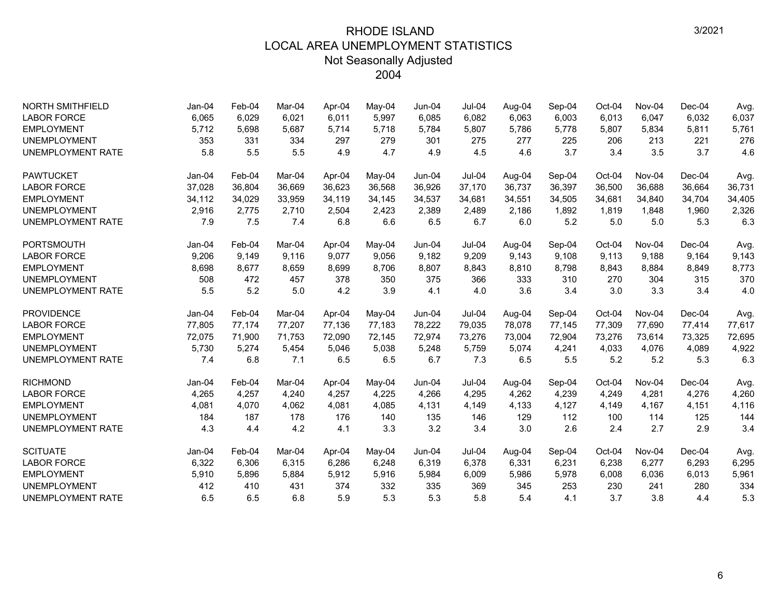| <b>NORTH SMITHFIELD</b>  | $Jan-04$ | Feb-04 | Mar-04 | Apr-04 | May-04 | Jun-04   | <b>Jul-04</b> | Aug-04 | Sep-04 | Oct-04 | Nov-04 | $Dec-04$ | Avg.   |
|--------------------------|----------|--------|--------|--------|--------|----------|---------------|--------|--------|--------|--------|----------|--------|
| <b>LABOR FORCE</b>       | 6,065    | 6,029  | 6.021  | 6,011  | 5,997  | 6.085    | 6,082         | 6,063  | 6,003  | 6,013  | 6,047  | 6.032    | 6.037  |
| <b>EMPLOYMENT</b>        | 5,712    | 5,698  | 5,687  | 5,714  | 5,718  | 5,784    | 5,807         | 5,786  | 5,778  | 5,807  | 5,834  | 5,811    | 5,761  |
| <b>UNEMPLOYMENT</b>      | 353      | 331    | 334    | 297    | 279    | 301      | 275           | 277    | 225    | 206    | 213    | 221      | 276    |
| <b>UNEMPLOYMENT RATE</b> | 5.8      | 5.5    | 5.5    | 4.9    | 4.7    | 4.9      | 4.5           | 4.6    | 3.7    | 3.4    | 3.5    | 3.7      | 4.6    |
| <b>PAWTUCKET</b>         | $Jan-04$ | Feb-04 | Mar-04 | Apr-04 | May-04 | $Jun-04$ | Jul-04        | Aug-04 | Sep-04 | Oct-04 | Nov-04 | $Dec-04$ | Avg.   |
| <b>LABOR FORCE</b>       | 37,028   | 36,804 | 36,669 | 36,623 | 36,568 | 36,926   | 37,170        | 36,737 | 36,397 | 36,500 | 36,688 | 36,664   | 36,731 |
| <b>EMPLOYMENT</b>        | 34,112   | 34,029 | 33,959 | 34,119 | 34,145 | 34,537   | 34,681        | 34,551 | 34,505 | 34,681 | 34,840 | 34,704   | 34,405 |
| <b>UNEMPLOYMENT</b>      | 2,916    | 2,775  | 2,710  | 2,504  | 2,423  | 2,389    | 2,489         | 2,186  | 1,892  | 1,819  | 1,848  | 1,960    | 2,326  |
| <b>UNEMPLOYMENT RATE</b> | 7.9      | 7.5    | 7.4    | 6.8    | 6.6    | 6.5      | 6.7           | 6.0    | 5.2    | 5.0    | 5.0    | 5.3      | 6.3    |
| <b>PORTSMOUTH</b>        | Jan-04   | Feb-04 | Mar-04 | Apr-04 | May-04 | Jun-04   | <b>Jul-04</b> | Aug-04 | Sep-04 | Oct-04 | Nov-04 | $Dec-04$ | Avg.   |
| <b>LABOR FORCE</b>       | 9,206    | 9,149  | 9,116  | 9,077  | 9,056  | 9,182    | 9,209         | 9,143  | 9,108  | 9,113  | 9,188  | 9,164    | 9,143  |
| <b>EMPLOYMENT</b>        | 8,698    | 8,677  | 8,659  | 8,699  | 8,706  | 8,807    | 8,843         | 8,810  | 8,798  | 8,843  | 8,884  | 8,849    | 8,773  |
| <b>UNEMPLOYMENT</b>      | 508      | 472    | 457    | 378    | 350    | 375      | 366           | 333    | 310    | 270    | 304    | 315      | 370    |
| <b>UNEMPLOYMENT RATE</b> | 5.5      | 5.2    | 5.0    | 4.2    | 3.9    | 4.1      | 4.0           | 3.6    | 3.4    | 3.0    | 3.3    | 3.4      | 4.0    |
| <b>PROVIDENCE</b>        | $Jan-04$ | Feb-04 | Mar-04 | Apr-04 | May-04 | Jun-04   | $Jul-04$      | Aug-04 | Sep-04 | Oct-04 | Nov-04 | $Dec-04$ | Avg.   |
| <b>LABOR FORCE</b>       | 77,805   | 77,174 | 77,207 | 77,136 | 77,183 | 78,222   | 79,035        | 78,078 | 77,145 | 77,309 | 77,690 | 77,414   | 77,617 |
| <b>EMPLOYMENT</b>        | 72,075   | 71,900 | 71.753 | 72,090 | 72,145 | 72,974   | 73,276        | 73,004 | 72,904 | 73,276 | 73,614 | 73,325   | 72,695 |
| <b>UNEMPLOYMENT</b>      | 5,730    | 5,274  | 5,454  | 5,046  | 5,038  | 5,248    | 5,759         | 5,074  | 4,241  | 4,033  | 4,076  | 4,089    | 4,922  |
| <b>UNEMPLOYMENT RATE</b> | 7.4      | 6.8    | 7.1    | 6.5    | 6.5    | 6.7      | 7.3           | 6.5    | 5.5    | 5.2    | 5.2    | 5.3      | 6.3    |
| <b>RICHMOND</b>          | Jan-04   | Feb-04 | Mar-04 | Apr-04 | May-04 | Jun-04   | Jul-04        | Aug-04 | Sep-04 | Oct-04 | Nov-04 | $Dec-04$ | Avg.   |
| <b>LABOR FORCE</b>       | 4,265    | 4,257  | 4,240  | 4,257  | 4,225  | 4,266    | 4,295         | 4,262  | 4,239  | 4,249  | 4,281  | 4,276    | 4,260  |
| <b>EMPLOYMENT</b>        | 4,081    | 4,070  | 4,062  | 4,081  | 4,085  | 4,131    | 4,149         | 4,133  | 4,127  | 4,149  | 4,167  | 4,151    | 4,116  |
| <b>UNEMPLOYMENT</b>      | 184      | 187    | 178    | 176    | 140    | 135      | 146           | 129    | 112    | 100    | 114    | 125      | 144    |
| <b>UNEMPLOYMENT RATE</b> | 4.3      | 4.4    | 4.2    | 4.1    | 3.3    | 3.2      | 3.4           | 3.0    | 2.6    | 2.4    | 2.7    | 2.9      | 3.4    |
| <b>SCITUATE</b>          | Jan-04   | Feb-04 | Mar-04 | Apr-04 | May-04 | Jun-04   | <b>Jul-04</b> | Aug-04 | Sep-04 | Oct-04 | Nov-04 | $Dec-04$ | Avg.   |
| <b>LABOR FORCE</b>       | 6,322    | 6,306  | 6,315  | 6,286  | 6,248  | 6,319    | 6,378         | 6,331  | 6,231  | 6,238  | 6,277  | 6,293    | 6,295  |
| <b>EMPLOYMENT</b>        | 5,910    | 5,896  | 5,884  | 5,912  | 5,916  | 5,984    | 6,009         | 5,986  | 5,978  | 6,008  | 6,036  | 6,013    | 5,961  |
| <b>UNEMPLOYMENT</b>      | 412      | 410    | 431    | 374    | 332    | 335      | 369           | 345    | 253    | 230    | 241    | 280      | 334    |
| <b>UNEMPLOYMENT RATE</b> | 6.5      | 6.5    | 6.8    | 5.9    | 5.3    | 5.3      | 5.8           | 5.4    | 4.1    | 3.7    | 3.8    | 4.4      | 5.3    |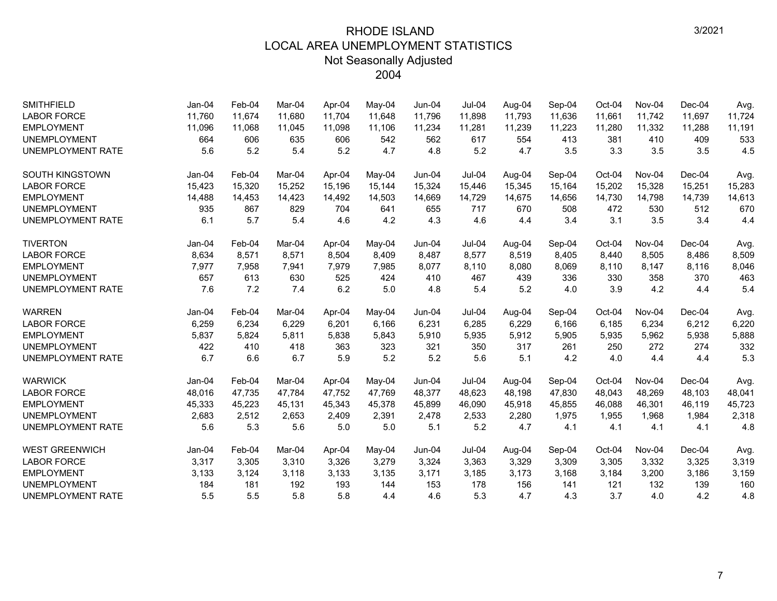| <b>SMITHFIELD</b>        | $Jan-04$ | Feb-04 | Mar-04 | Apr-04 | May-04 | Jun-04   | $Jul-04$      | Aug-04 | Sep-04 | Oct-04 | Nov-04 | $Dec-04$ | Avg.   |
|--------------------------|----------|--------|--------|--------|--------|----------|---------------|--------|--------|--------|--------|----------|--------|
| <b>LABOR FORCE</b>       | 11,760   | 11,674 | 11.680 | 11,704 | 11,648 | 11,796   | 11,898        | 11,793 | 11,636 | 11,661 | 11,742 | 11,697   | 11,724 |
| <b>EMPLOYMENT</b>        | 11,096   | 11,068 | 11,045 | 11,098 | 11,106 | 11,234   | 11,281        | 11,239 | 11,223 | 11,280 | 11,332 | 11,288   | 11,191 |
| <b>UNEMPLOYMENT</b>      | 664      | 606    | 635    | 606    | 542    | 562      | 617           | 554    | 413    | 381    | 410    | 409      | 533    |
| <b>UNEMPLOYMENT RATE</b> | 5.6      | 5.2    | 5.4    | 5.2    | 4.7    | 4.8      | 5.2           | 4.7    | 3.5    | 3.3    | 3.5    | 3.5      | 4.5    |
| <b>SOUTH KINGSTOWN</b>   | $Jan-04$ | Feb-04 | Mar-04 | Apr-04 | May-04 | $Jun-04$ | $Jul-04$      | Aug-04 | Sep-04 | Oct-04 | Nov-04 | $Dec-04$ | Avg.   |
| <b>LABOR FORCE</b>       | 15,423   | 15,320 | 15,252 | 15,196 | 15,144 | 15,324   | 15,446        | 15,345 | 15,164 | 15,202 | 15,328 | 15,251   | 15,283 |
| <b>EMPLOYMENT</b>        | 14,488   | 14,453 | 14,423 | 14,492 | 14,503 | 14,669   | 14,729        | 14,675 | 14,656 | 14,730 | 14,798 | 14,739   | 14,613 |
| <b>UNEMPLOYMENT</b>      | 935      | 867    | 829    | 704    | 641    | 655      | 717           | 670    | 508    | 472    | 530    | 512      | 670    |
| <b>UNEMPLOYMENT RATE</b> | 6.1      | 5.7    | 5.4    | 4.6    | 4.2    | 4.3      | 4.6           | 4.4    | 3.4    | 3.1    | 3.5    | 3.4      | 4.4    |
| <b>TIVERTON</b>          | $Jan-04$ | Feb-04 | Mar-04 | Apr-04 | May-04 | $Jun-04$ | Jul-04        | Aug-04 | Sep-04 | Oct-04 | Nov-04 | $Dec-04$ | Avg.   |
| <b>LABOR FORCE</b>       | 8,634    | 8,571  | 8,571  | 8,504  | 8,409  | 8,487    | 8,577         | 8,519  | 8,405  | 8,440  | 8,505  | 8,486    | 8,509  |
| <b>EMPLOYMENT</b>        | 7,977    | 7,958  | 7,941  | 7,979  | 7,985  | 8,077    | 8,110         | 8,080  | 8,069  | 8,110  | 8,147  | 8,116    | 8,046  |
| <b>UNEMPLOYMENT</b>      | 657      | 613    | 630    | 525    | 424    | 410      | 467           | 439    | 336    | 330    | 358    | 370      | 463    |
| <b>UNEMPLOYMENT RATE</b> | 7.6      | 7.2    | 7.4    | 6.2    | 5.0    | 4.8      | 5.4           | 5.2    | 4.0    | 3.9    | 4.2    | 4.4      | 5.4    |
| <b>WARREN</b>            | Jan-04   | Feb-04 | Mar-04 | Apr-04 | May-04 | $Jun-04$ | Jul-04        | Aug-04 | Sep-04 | Oct-04 | Nov-04 | $Dec-04$ | Avg.   |
| <b>LABOR FORCE</b>       | 6,259    | 6,234  | 6,229  | 6,201  | 6,166  | 6,231    | 6,285         | 6,229  | 6,166  | 6.185  | 6,234  | 6,212    | 6,220  |
| <b>EMPLOYMENT</b>        | 5,837    | 5,824  | 5,811  | 5,838  | 5,843  | 5,910    | 5,935         | 5,912  | 5,905  | 5,935  | 5,962  | 5,938    | 5,888  |
| <b>UNEMPLOYMENT</b>      | 422      | 410    | 418    | 363    | 323    | 321      | 350           | 317    | 261    | 250    | 272    | 274      | 332    |
| <b>UNEMPLOYMENT RATE</b> | 6.7      | 6.6    | 6.7    | 5.9    | 5.2    | 5.2      | 5.6           | 5.1    | 4.2    | 4.0    | 4.4    | 4.4      | 5.3    |
| <b>WARWICK</b>           | Jan-04   | Feb-04 | Mar-04 | Apr-04 | May-04 | Jun-04   | <b>Jul-04</b> | Aug-04 | Sep-04 | Oct-04 | Nov-04 | $Dec-04$ | Avg.   |
| <b>LABOR FORCE</b>       | 48,016   | 47,735 | 47,784 | 47.752 | 47,769 | 48,377   | 48,623        | 48,198 | 47,830 | 48,043 | 48,269 | 48,103   | 48,041 |
| <b>EMPLOYMENT</b>        | 45,333   | 45,223 | 45,131 | 45,343 | 45,378 | 45,899   | 46,090        | 45,918 | 45,855 | 46,088 | 46,301 | 46,119   | 45,723 |
| <b>UNEMPLOYMENT</b>      | 2,683    | 2,512  | 2,653  | 2,409  | 2,391  | 2,478    | 2,533         | 2,280  | 1,975  | 1,955  | 1,968  | 1,984    | 2,318  |
| UNEMPLOYMENT RATE        | 5.6      | 5.3    | 5.6    | 5.0    | 5.0    | 5.1      | 5.2           | 4.7    | 4.1    | 4.1    | 4.1    | 4.1      | 4.8    |
| <b>WEST GREENWICH</b>    | $Jan-04$ | Feb-04 | Mar-04 | Apr-04 | May-04 | $Jun-04$ | $Jul-04$      | Aug-04 | Sep-04 | Oct-04 | Nov-04 | $Dec-04$ | Avg.   |
| <b>LABOR FORCE</b>       | 3,317    | 3,305  | 3,310  | 3,326  | 3,279  | 3,324    | 3,363         | 3,329  | 3,309  | 3,305  | 3,332  | 3,325    | 3,319  |
| <b>EMPLOYMENT</b>        | 3,133    | 3,124  | 3,118  | 3,133  | 3,135  | 3,171    | 3,185         | 3,173  | 3,168  | 3,184  | 3,200  | 3,186    | 3,159  |
| <b>UNEMPLOYMENT</b>      | 184      | 181    | 192    | 193    | 144    | 153      | 178           | 156    | 141    | 121    | 132    | 139      | 160    |
| <b>UNEMPLOYMENT RATE</b> | 5.5      | 5.5    | 5.8    | 5.8    | 4.4    | 4.6      | 5.3           | 4.7    | 4.3    | 3.7    | 4.0    | 4.2      | 4.8    |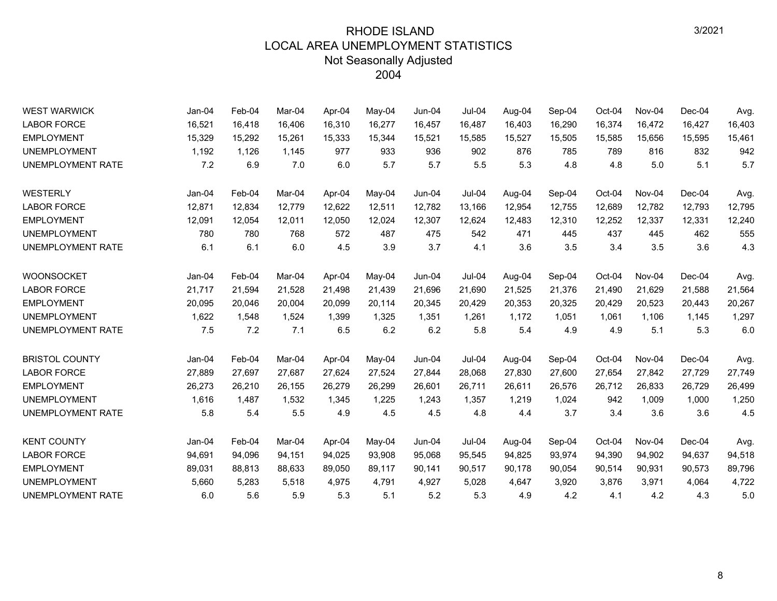| <b>WEST WARWICK</b>      | Jan-04   | Feb-04 | Mar-04 | Apr-04 | May-04 | $Jun-04$ | <b>Jul-04</b> | Aug-04 | Sep-04 | Oct-04 | Nov-04 | Dec-04   | Avg.   |
|--------------------------|----------|--------|--------|--------|--------|----------|---------------|--------|--------|--------|--------|----------|--------|
| <b>LABOR FORCE</b>       | 16,521   | 16,418 | 16,406 | 16,310 | 16,277 | 16,457   | 16,487        | 16,403 | 16,290 | 16,374 | 16,472 | 16,427   | 16,403 |
| <b>EMPLOYMENT</b>        | 15,329   | 15,292 | 15,261 | 15,333 | 15,344 | 15,521   | 15,585        | 15,527 | 15,505 | 15,585 | 15,656 | 15,595   | 15,461 |
| <b>UNEMPLOYMENT</b>      | 1,192    | 1,126  | 1,145  | 977    | 933    | 936      | 902           | 876    | 785    | 789    | 816    | 832      | 942    |
| <b>UNEMPLOYMENT RATE</b> | 7.2      | 6.9    | 7.0    | 6.0    | 5.7    | 5.7      | 5.5           | 5.3    | 4.8    | 4.8    | 5.0    | 5.1      | 5.7    |
| <b>WESTERLY</b>          | $Jan-04$ | Feb-04 | Mar-04 | Apr-04 | May-04 | Jun-04   | $Jul-04$      | Aug-04 | Sep-04 | Oct-04 | Nov-04 | Dec-04   | Avg.   |
| <b>LABOR FORCE</b>       | 12,871   | 12,834 | 12,779 | 12,622 | 12,511 | 12,782   | 13,166        | 12,954 | 12,755 | 12,689 | 12,782 | 12,793   | 12,795 |
| <b>EMPLOYMENT</b>        | 12,091   | 12,054 | 12,011 | 12,050 | 12,024 | 12,307   | 12,624        | 12,483 | 12,310 | 12,252 | 12,337 | 12,331   | 12,240 |
| <b>UNEMPLOYMENT</b>      | 780      | 780    | 768    | 572    | 487    | 475      | 542           | 471    | 445    | 437    | 445    | 462      | 555    |
| <b>UNEMPLOYMENT RATE</b> | 6.1      | 6.1    | 6.0    | 4.5    | 3.9    | 3.7      | 4.1           | 3.6    | 3.5    | 3.4    | 3.5    | 3.6      | 4.3    |
| <b>WOONSOCKET</b>        | $Jan-04$ | Feb-04 | Mar-04 | Apr-04 | May-04 | Jun-04   | Jul-04        | Aug-04 | Sep-04 | Oct-04 | Nov-04 | $Dec-04$ | Avg.   |
| <b>LABOR FORCE</b>       | 21,717   | 21,594 | 21,528 | 21,498 | 21,439 | 21,696   | 21,690        | 21,525 | 21,376 | 21,490 | 21,629 | 21,588   | 21,564 |
| <b>EMPLOYMENT</b>        | 20,095   | 20,046 | 20,004 | 20,099 | 20,114 | 20,345   | 20,429        | 20,353 | 20,325 | 20,429 | 20,523 | 20,443   | 20,267 |
| <b>UNEMPLOYMENT</b>      | 1,622    | 1,548  | 1,524  | 1,399  | 1,325  | 1,351    | 1,261         | 1,172  | 1,051  | 1,061  | 1,106  | 1,145    | 1,297  |
| <b>UNEMPLOYMENT RATE</b> | 7.5      | 7.2    | 7.1    | 6.5    | 6.2    | 6.2      | 5.8           | 5.4    | 4.9    | 4.9    | 5.1    | 5.3      | 6.0    |
| <b>BRISTOL COUNTY</b>    | $Jan-04$ | Feb-04 | Mar-04 | Apr-04 | May-04 | $Jun-04$ | Jul-04        | Aug-04 | Sep-04 | Oct-04 | Nov-04 | Dec-04   | Avg.   |
| <b>LABOR FORCE</b>       | 27,889   | 27,697 | 27,687 | 27,624 | 27,524 | 27,844   | 28,068        | 27,830 | 27,600 | 27,654 | 27,842 | 27,729   | 27,749 |
| <b>EMPLOYMENT</b>        | 26,273   | 26,210 | 26.155 | 26,279 | 26,299 | 26,601   | 26,711        | 26,611 | 26,576 | 26,712 | 26,833 | 26,729   | 26,499 |
| <b>UNEMPLOYMENT</b>      | 1,616    | 1,487  | 1,532  | 1,345  | 1,225  | 1,243    | 1,357         | 1,219  | 1,024  | 942    | 1,009  | 1,000    | 1,250  |
| <b>UNEMPLOYMENT RATE</b> | 5.8      | 5.4    | 5.5    | 4.9    | 4.5    | 4.5      | 4.8           | 4.4    | 3.7    | 3.4    | 3.6    | 3.6      | 4.5    |
| <b>KENT COUNTY</b>       | $Jan-04$ | Feb-04 | Mar-04 | Apr-04 | May-04 | Jun-04   | Jul-04        | Aug-04 | Sep-04 | Oct-04 | Nov-04 | Dec-04   | Avg.   |
| <b>LABOR FORCE</b>       | 94,691   | 94,096 | 94,151 | 94,025 | 93,908 | 95,068   | 95,545        | 94,825 | 93,974 | 94,390 | 94,902 | 94,637   | 94,518 |
| <b>EMPLOYMENT</b>        | 89,031   | 88,813 | 88,633 | 89,050 | 89,117 | 90,141   | 90,517        | 90,178 | 90,054 | 90,514 | 90,931 | 90,573   | 89,796 |
| <b>UNEMPLOYMENT</b>      | 5,660    | 5,283  | 5,518  | 4,975  | 4,791  | 4,927    | 5,028         | 4,647  | 3,920  | 3,876  | 3,971  | 4,064    | 4,722  |
| <b>UNEMPLOYMENT RATE</b> | 6.0      | 5.6    | 5.9    | 5.3    | 5.1    | 5.2      | 5.3           | 4.9    | 4.2    | 4.1    | 4.2    | 4.3      | 5.0    |